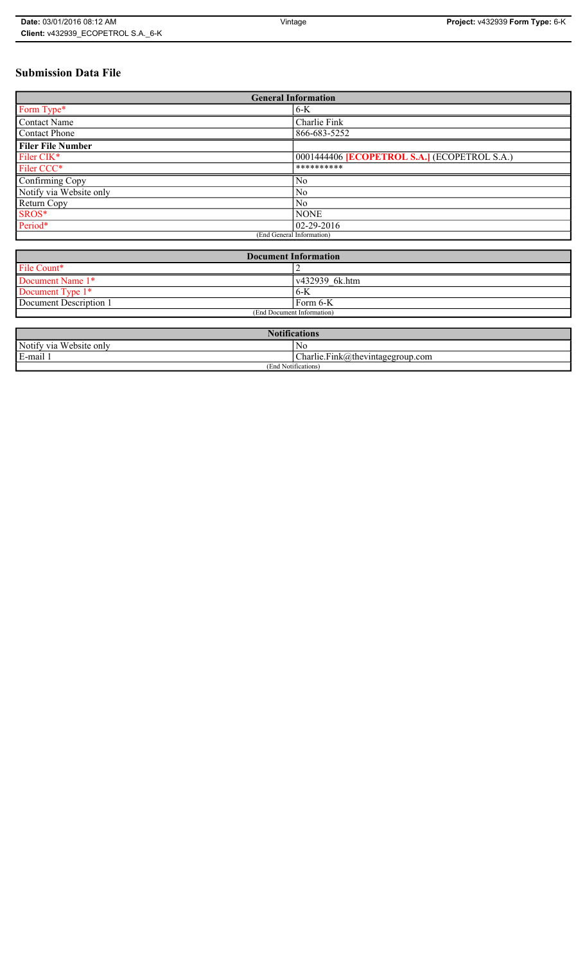## **Submission Data File**

| <b>General Information</b> |                                              |  |
|----------------------------|----------------------------------------------|--|
| Form Type*                 | $6-K$                                        |  |
| <b>Contact Name</b>        | Charlie Fink                                 |  |
| <b>Contact Phone</b>       | 866-683-5252                                 |  |
| <b>Filer File Number</b>   |                                              |  |
| Filer CIK*                 | 0001444406 [ECOPETROL S.A.] (ECOPETROL S.A.) |  |
| Filer CCC*                 | **********                                   |  |
| Confirming Copy            | No                                           |  |
| Notify via Website only    | N <sub>0</sub>                               |  |
| Return Copy                | No                                           |  |
| SROS*                      | <b>NONE</b>                                  |  |
| Period*                    | 02-29-2016                                   |  |
| (End General Information)  |                                              |  |

| <b>Document Information</b> |                        |  |
|-----------------------------|------------------------|--|
| File Count*                 |                        |  |
| Document Name 1*            | $\sqrt{432939}$ 6k.htm |  |
| Document Type 1*            | $6-K$                  |  |
| Document Description 1      | Form $6-K$             |  |
| (End Document Information)  |                        |  |

| <b>Notifications</b>       |                                      |  |
|----------------------------|--------------------------------------|--|
| Notify via<br>Website only | No                                   |  |
| E-mail 1<br>$\blacksquare$ | $ Charlie.Fink@$ thevintagegroup.com |  |
| 1 Notifications)<br>(End   |                                      |  |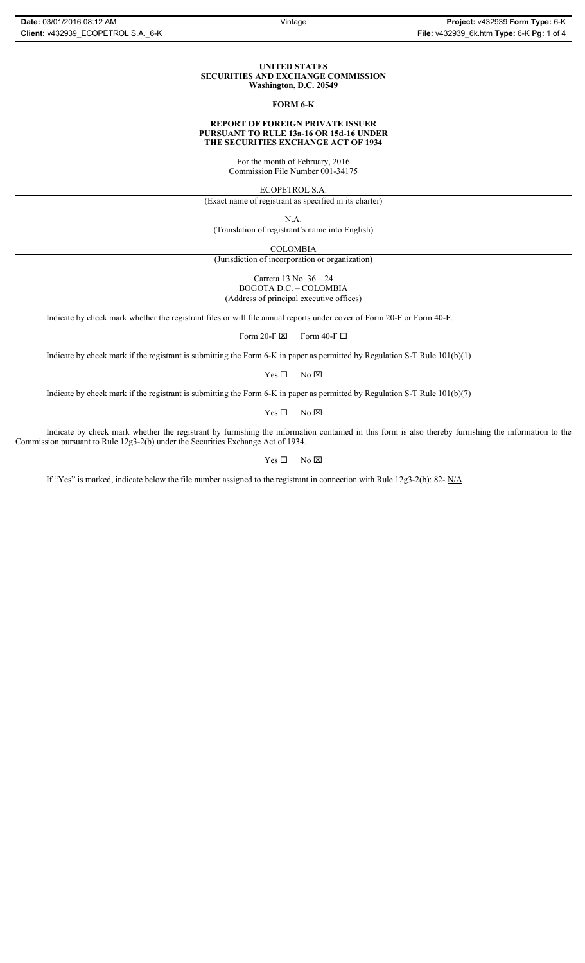#### **UNITED STATES SECURITIES AND EXCHANGE COMMISSION Washington, D.C. 20549**

#### **FORM 6-K**

#### **REPORT OF FOREIGN PRIVATE ISSUER PURSUANT TO RULE 13a-16 OR 15d-16 UNDER THE SECURITIES EXCHANGE ACT OF 1934**

For the month of February, 2016 Commission File Number 001-34175

ECOPETROL S.A.

(Exact name of registrant as specified in its charter)

N.A.

(Translation of registrant's name into English)

COLOMBIA

(Jurisdiction of incorporation or organization)

Carrera 13 No. 36 – 24

BOGOTA D.C. – COLOMBIA

(Address of principal executive offices)

Indicate by check mark whether the registrant files or will file annual reports under cover of Form 20-F or Form 40-F.

Form 20-F  $\boxtimes$  Form 40-F  $\Box$ 

Indicate by check mark if the registrant is submitting the Form 6-K in paper as permitted by Regulation S-T Rule 101(b)(1)

 $Yes \Box$  No  $\boxtimes$ 

Indicate by check mark if the registrant is submitting the Form 6-K in paper as permitted by Regulation S-T Rule 101(b)(7)

 $Yes \Box$  No  $\boxtimes$ 

Indicate by check mark whether the registrant by furnishing the information contained in this form is also thereby furnishing the information to the Commission pursuant to Rule 12g3-2(b) under the Securities Exchange Act of 1934.

 $Yes \Box$  No  $\boxtimes$ 

If "Yes" is marked, indicate below the file number assigned to the registrant in connection with Rule 12g3-2(b): 82- N/A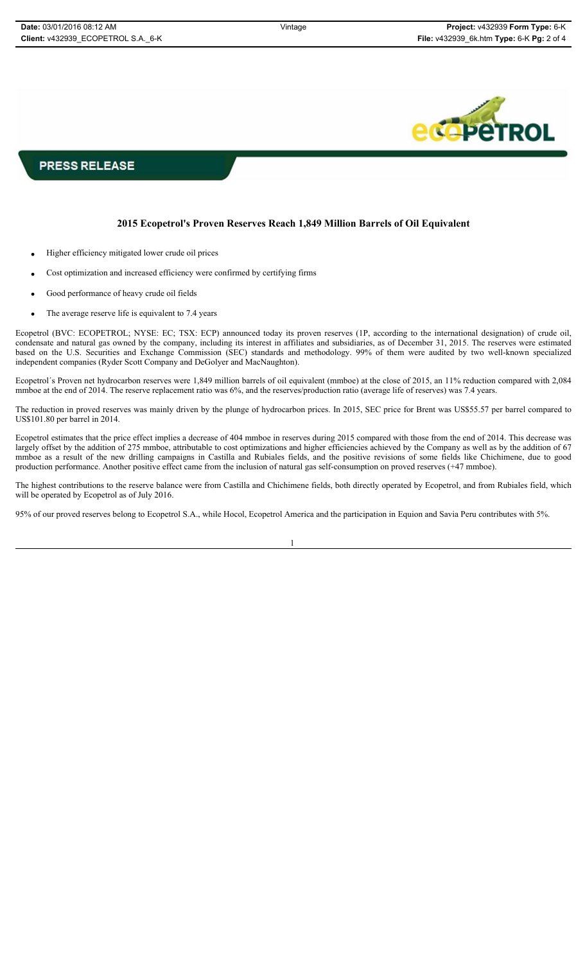

**PRESS RELEASE** 

## **2015 Ecopetrol's Proven Reserves Reach 1,849 Million Barrels of Oil Equivalent**

- Higher efficiency mitigated lower crude oil prices
- Cost optimization and increased efficiency were confirmed by certifying firms
- Good performance of heavy crude oil fields
- The average reserve life is equivalent to 7.4 years

Ecopetrol (BVC: ECOPETROL; NYSE: EC; TSX: ECP) announced today its proven reserves (1P, according to the international designation) of crude oil, condensate and natural gas owned by the company, including its interest in affiliates and subsidiaries, as of December 31, 2015. The reserves were estimated based on the U.S. Securities and Exchange Commission (SEC) standards and methodology. 99% of them were audited by two well-known specialized independent companies (Ryder Scott Company and DeGolyer and MacNaughton).

Ecopetrol´s Proven net hydrocarbon reserves were 1,849 million barrels of oil equivalent (mmboe) at the close of 2015, an 11% reduction compared with 2,084 mmboe at the end of 2014. The reserve replacement ratio was 6%, and the reserves/production ratio (average life of reserves) was 7.4 years.

The reduction in proved reserves was mainly driven by the plunge of hydrocarbon prices. In 2015, SEC price for Brent was US\$55.57 per barrel compared to US\$101.80 per barrel in 2014.

Ecopetrol estimates that the price effect implies a decrease of 404 mmboe in reserves during 2015 compared with those from the end of 2014. This decrease was largely offset by the addition of 275 mmboe, attributable to cost optimizations and higher efficiencies achieved by the Company as well as by the addition of 67 mmboe as a result of the new drilling campaigns in Castilla and Rubiales fields, and the positive revisions of some fields like Chichimene, due to good production performance. Another positive effect came from the inclusion of natural gas self-consumption on proved reserves (+47 mmboe).

The highest contributions to the reserve balance were from Castilla and Chichimene fields, both directly operated by Ecopetrol, and from Rubiales field, which will be operated by Ecopetrol as of July 2016.

95% of our proved reserves belong to Ecopetrol S.A., while Hocol, Ecopetrol America and the participation in Equion and Savia Peru contributes with 5%.

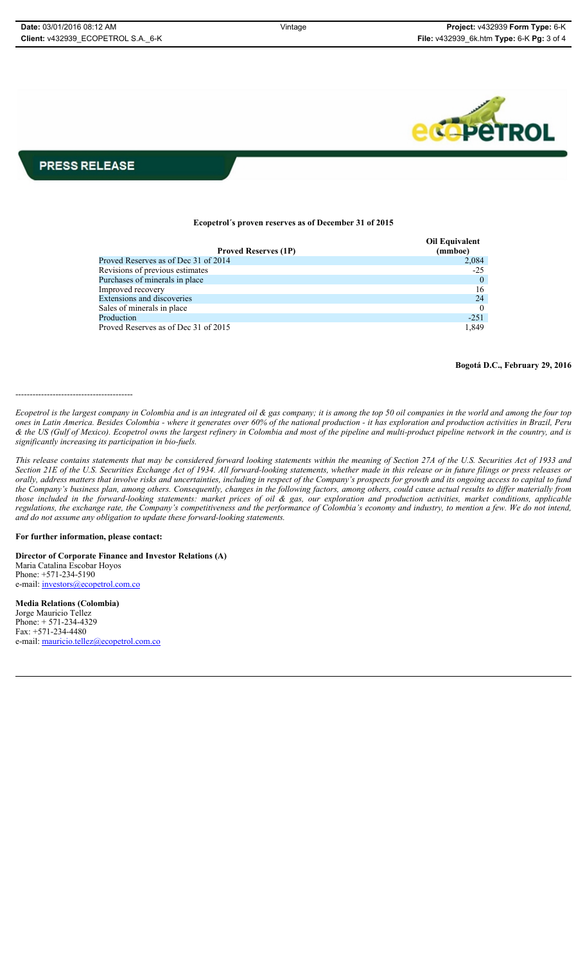

# **PRESS RELEASE**

#### **Ecopetrol´s proven reserves as of December 31 of 2015**

| <b>Proved Reserves (1P)</b>          | <b>Oil Equivalent</b><br>(mmboe) |
|--------------------------------------|----------------------------------|
| Proved Reserves as of Dec 31 of 2014 | 2,084                            |
| Revisions of previous estimates      | $-2.5$                           |
| Purchases of minerals in place       | $\theta$                         |
| Improved recovery                    | 16                               |
| <b>Extensions and discoveries</b>    | 24                               |
| Sales of minerals in place           | $\Omega$                         |
| Production                           | $-251$                           |
| Proved Reserves as of Dec 31 of 2015 | 1,849                            |

### **Bogotá D.C., February 29, 2016**

-----------------------------------------

*Ecopetrol is the largest company in Colombia and is an integrated oil & gas company; it is among the top 50 oil companies in the world and among the four top ones in Latin America. Besides Colombia - where it generates over 60% of the national production - it has exploration and production activities in Brazil, Peru & the US (Gulf of Mexico). Ecopetrol owns the largest refinery in Colombia and most of the pipeline and multi-product pipeline network in the country, and is significantly increasing its participation in bio-fuels.*

*This release contains statements that may be considered forward looking statements within the meaning of Section 27A of the U.S. Securities Act of 1933 and Section 21E of the U.S. Securities Exchange Act of 1934. All forward-looking statements, whether made in this release or in future filings or press releases or orally, address matters that involve risks and uncertainties, including in respect of the Company's prospects for growth and its ongoing access to capital to fund the Company's business plan, among others. Consequently, changes in the following factors, among others, could cause actual results to differ materially from those included in the forward-looking statements: market prices of oil & gas, our exploration and production activities, market conditions, applicable regulations, the exchange rate, the Company's competitiveness and the performance of Colombia's economy and industry, to mention a few. We do not intend, and do not assume any obligation to update these forward-looking statements.*

#### **For further information, please contact:**

**Director of Corporate Finance and Investor Relations (A)** Maria Catalina Escobar Hoyos Phone: +571-234-5190 e-mail: investors@ecopetrol.com.co

**Media Relations (Colombia)**  Jorge Mauricio Tellez Phone: + 571-234-4329 Fax: +571-234-4480 e-mail: mauricio.tellez@ecopetrol.com.co